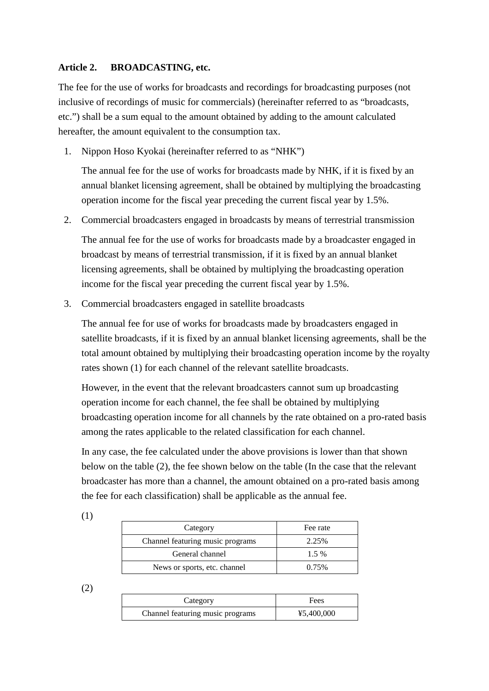## **Article 2. BROADCASTING, etc.**

The fee for the use of works for broadcasts and recordings for broadcasting purposes (not inclusive of recordings of music for commercials) (hereinafter referred to as "broadcasts, etc.") shall be a sum equal to the amount obtained by adding to the amount calculated hereafter, the amount equivalent to the consumption tax.

1. Nippon Hoso Kyokai (hereinafter referred to as "NHK")

The annual fee for the use of works for broadcasts made by NHK, if it is fixed by an annual blanket licensing agreement, shall be obtained by multiplying the broadcasting operation income for the fiscal year preceding the current fiscal year by 1.5%.

2. Commercial broadcasters engaged in broadcasts by means of terrestrial transmission

The annual fee for the use of works for broadcasts made by a broadcaster engaged in broadcast by means of terrestrial transmission, if it is fixed by an annual blanket licensing agreements, shall be obtained by multiplying the broadcasting operation income for the fiscal year preceding the current fiscal year by 1.5%.

3. Commercial broadcasters engaged in satellite broadcasts

The annual fee for use of works for broadcasts made by broadcasters engaged in satellite broadcasts, if it is fixed by an annual blanket licensing agreements, shall be the total amount obtained by multiplying their broadcasting operation income by the royalty rates shown (1) for each channel of the relevant satellite broadcasts.

However, in the event that the relevant broadcasters cannot sum up broadcasting operation income for each channel, the fee shall be obtained by multiplying broadcasting operation income for all channels by the rate obtained on a pro-rated basis among the rates applicable to the related classification for each channel.

In any case, the fee calculated under the above provisions is lower than that shown below on the table (2), the fee shown below on the table (In the case that the relevant broadcaster has more than a channel, the amount obtained on a pro-rated basis among the fee for each classification) shall be applicable as the annual fee.

| Category                         | Fee rate |
|----------------------------------|----------|
| Channel featuring music programs | 2.25%    |
| General channel                  | $1.5\%$  |
| News or sports, etc. channel     | 0.75%    |

(2)

| Category                         | Fees       |
|----------------------------------|------------|
| Channel featuring music programs | ¥5,400,000 |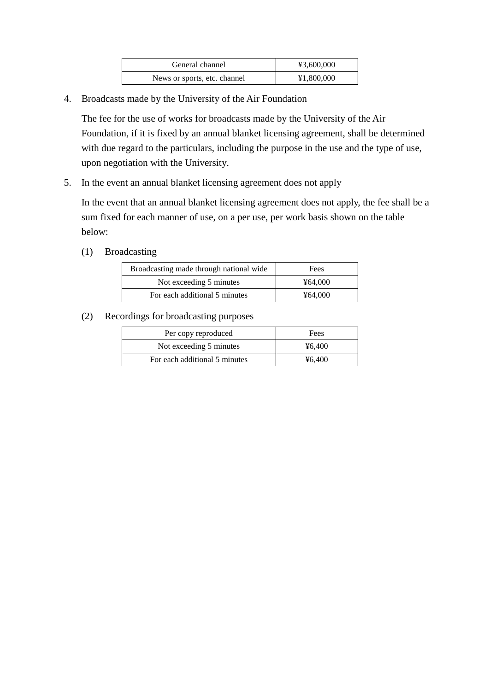| General channel              | ¥3,600,000 |
|------------------------------|------------|
| News or sports, etc. channel | ¥1,800,000 |

4. Broadcasts made by the University of the Air Foundation

The fee for the use of works for broadcasts made by the University of the Air Foundation, if it is fixed by an annual blanket licensing agreement, shall be determined with due regard to the particulars, including the purpose in the use and the type of use, upon negotiation with the University.

5. In the event an annual blanket licensing agreement does not apply

In the event that an annual blanket licensing agreement does not apply, the fee shall be a sum fixed for each manner of use, on a per use, per work basis shown on the table below:

(1) Broadcasting

| Broadcasting made through national wide | Fees    |
|-----------------------------------------|---------|
| Not exceeding 5 minutes                 | ¥64,000 |
| For each additional 5 minutes           | ¥64.000 |

(2) Recordings for broadcasting purposes

| Per copy reproduced           | Fees   |
|-------------------------------|--------|
| Not exceeding 5 minutes       | ¥6.400 |
| For each additional 5 minutes | ¥6.400 |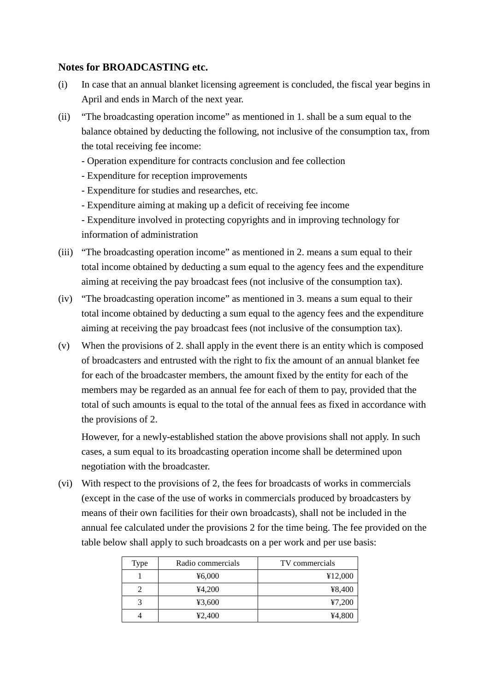## **Notes for BROADCASTING etc.**

- (i) In case that an annual blanket licensing agreement is concluded, the fiscal year begins in April and ends in March of the next year.
- (ii) "The broadcasting operation income" as mentioned in 1. shall be a sum equal to the balance obtained by deducting the following, not inclusive of the consumption tax, from the total receiving fee income:
	- Operation expenditure for contracts conclusion and fee collection
	- Expenditure for reception improvements
	- Expenditure for studies and researches, etc.
	- Expenditure aiming at making up a deficit of receiving fee income
	- Expenditure involved in protecting copyrights and in improving technology for information of administration
- (iii) "The broadcasting operation income" as mentioned in 2. means a sum equal to their total income obtained by deducting a sum equal to the agency fees and the expenditure aiming at receiving the pay broadcast fees (not inclusive of the consumption tax).
- (iv) "The broadcasting operation income" as mentioned in 3. means a sum equal to their total income obtained by deducting a sum equal to the agency fees and the expenditure aiming at receiving the pay broadcast fees (not inclusive of the consumption tax).
- (v) When the provisions of 2. shall apply in the event there is an entity which is composed of broadcasters and entrusted with the right to fix the amount of an annual blanket fee for each of the broadcaster members, the amount fixed by the entity for each of the members may be regarded as an annual fee for each of them to pay, provided that the total of such amounts is equal to the total of the annual fees as fixed in accordance with the provisions of 2.

However, for a newly-established station the above provisions shall not apply. In such cases, a sum equal to its broadcasting operation income shall be determined upon negotiation with the broadcaster.

(vi) With respect to the provisions of 2, the fees for broadcasts of works in commercials (except in the case of the use of works in commercials produced by broadcasters by means of their own facilities for their own broadcasts), shall not be included in the annual fee calculated under the provisions 2 for the time being. The fee provided on the table below shall apply to such broadcasts on a per work and per use basis:

| Type | Radio commercials | TV commercials |
|------|-------------------|----------------|
|      | ¥6,000            | ¥12,000        |
|      | 44,200            | ¥8,400         |
|      | ¥3,600            | 47,200         |
|      | 42,400            | ¥4,800         |